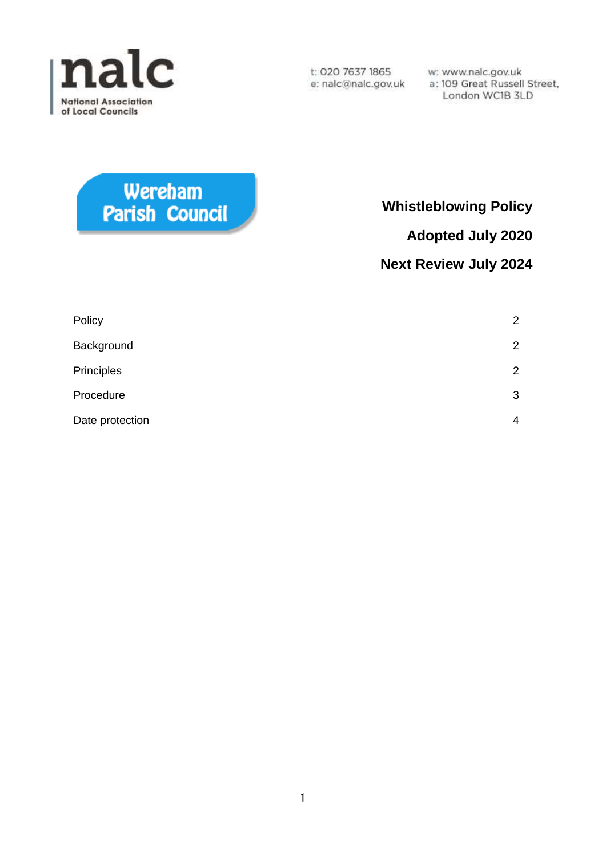

w: www.nalc.gov.uk a: 109 Great Russell Street, London WC1B 3LD

# Wereham Parish Council

## **Whistleblowing Policy**

**Adopted July 2020**

### **Next Review July 2024**

| Policy          | $\overline{2}$ |
|-----------------|----------------|
| Background      | $\overline{2}$ |
| Principles      | $\overline{2}$ |
| Procedure       | 3              |
| Date protection | $\overline{4}$ |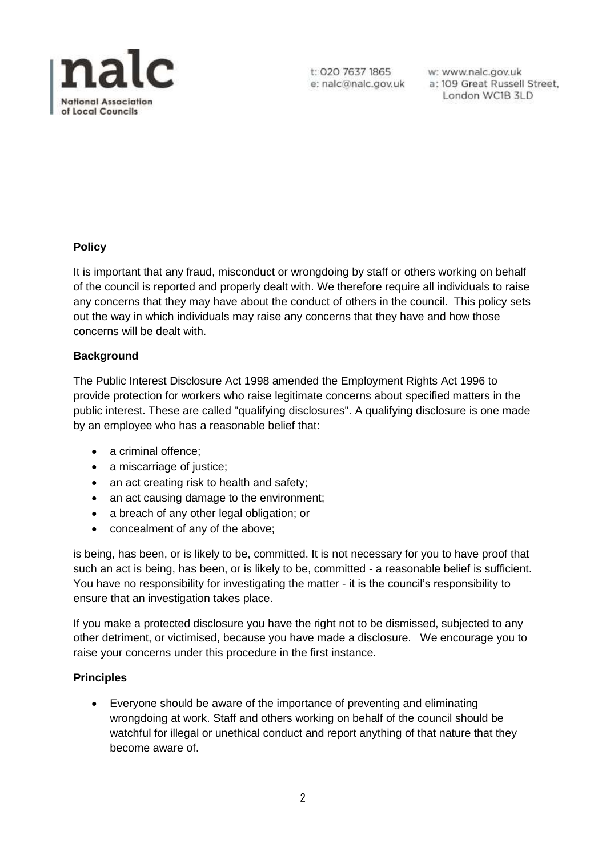

w: www.nalc.gov.uk a: 109 Great Russell Street, London WC1B 3LD

#### **Policy**

It is important that any fraud, misconduct or wrongdoing by staff or others working on behalf of the council is reported and properly dealt with. We therefore require all individuals to raise any concerns that they may have about the conduct of others in the council. This policy sets out the way in which individuals may raise any concerns that they have and how those concerns will be dealt with.

#### **Background**

The Public Interest Disclosure Act 1998 amended the Employment Rights Act 1996 to provide protection for workers who raise legitimate concerns about specified matters in the public interest. These are called "qualifying disclosures". A qualifying disclosure is one made by an employee who has a reasonable belief that:

- a criminal offence:
- a miscarriage of justice;
- an act creating risk to health and safety;
- an act causing damage to the environment:
- a breach of any other legal obligation; or
- concealment of any of the above;

is being, has been, or is likely to be, committed. It is not necessary for you to have proof that such an act is being, has been, or is likely to be, committed - a reasonable belief is sufficient. You have no responsibility for investigating the matter - it is the council's responsibility to ensure that an investigation takes place.

If you make a protected disclosure you have the right not to be dismissed, subjected to any other detriment, or victimised, because you have made a disclosure. We encourage you to raise your concerns under this procedure in the first instance.

#### **Principles**

 Everyone should be aware of the importance of preventing and eliminating wrongdoing at work. Staff and others working on behalf of the council should be watchful for illegal or unethical conduct and report anything of that nature that they become aware of.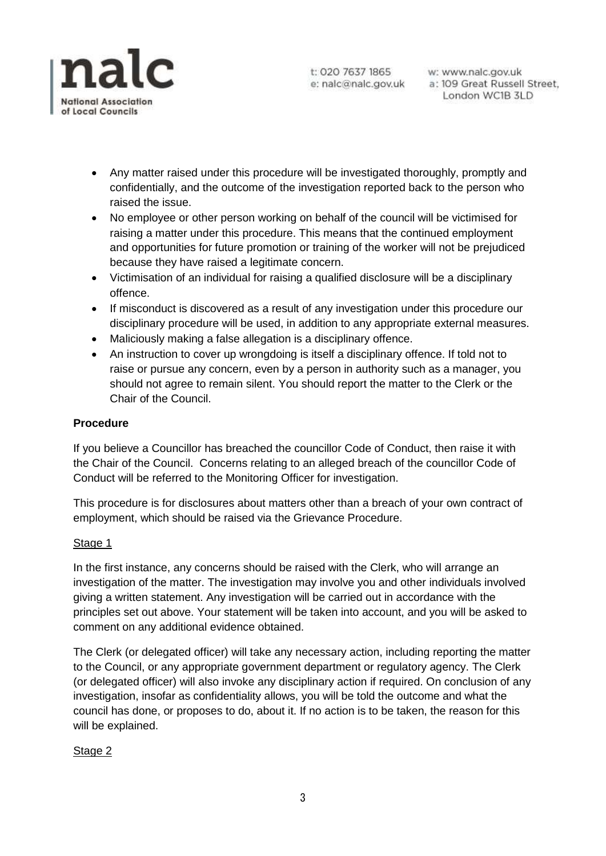

w: www.nalc.gov.uk a: 109 Great Russell Street, London WC1B 3LD

- Any matter raised under this procedure will be investigated thoroughly, promptly and confidentially, and the outcome of the investigation reported back to the person who raised the issue.
- No employee or other person working on behalf of the council will be victimised for raising a matter under this procedure. This means that the continued employment and opportunities for future promotion or training of the worker will not be prejudiced because they have raised a legitimate concern.
- Victimisation of an individual for raising a qualified disclosure will be a disciplinary offence.
- If misconduct is discovered as a result of any investigation under this procedure our disciplinary procedure will be used, in addition to any appropriate external measures.
- Maliciously making a false allegation is a disciplinary offence.
- An instruction to cover up wrongdoing is itself a disciplinary offence. If told not to raise or pursue any concern, even by a person in authority such as a manager, you should not agree to remain silent. You should report the matter to the Clerk or the Chair of the Council.

#### **Procedure**

If you believe a Councillor has breached the councillor Code of Conduct, then raise it with the Chair of the Council. Concerns relating to an alleged breach of the councillor Code of Conduct will be referred to the Monitoring Officer for investigation.

This procedure is for disclosures about matters other than a breach of your own contract of employment, which should be raised via the Grievance Procedure.

#### Stage 1

In the first instance, any concerns should be raised with the Clerk, who will arrange an investigation of the matter. The investigation may involve you and other individuals involved giving a written statement. Any investigation will be carried out in accordance with the principles set out above. Your statement will be taken into account, and you will be asked to comment on any additional evidence obtained.

The Clerk (or delegated officer) will take any necessary action, including reporting the matter to the Council, or any appropriate government department or regulatory agency. The Clerk (or delegated officer) will also invoke any disciplinary action if required. On conclusion of any investigation, insofar as confidentiality allows, you will be told the outcome and what the council has done, or proposes to do, about it. If no action is to be taken, the reason for this will be explained.

#### Stage 2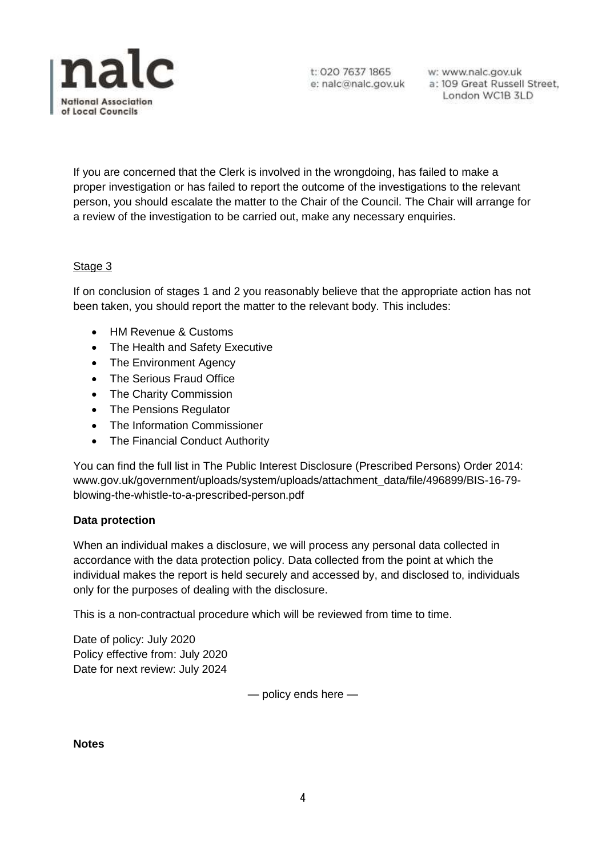

w: www.nalc.gov.uk a: 109 Great Russell Street, London WC1B 3LD

If you are concerned that the Clerk is involved in the wrongdoing, has failed to make a proper investigation or has failed to report the outcome of the investigations to the relevant person, you should escalate the matter to the Chair of the Council. The Chair will arrange for a review of the investigation to be carried out, make any necessary enquiries.

#### Stage 3

If on conclusion of stages 1 and 2 you reasonably believe that the appropriate action has not been taken, you should report the matter to the relevant body. This includes:

- HM Revenue & Customs
- The Health and Safety Executive
- The Environment Agency
- The Serious Fraud Office
- The Charity Commission
- The Pensions Regulator
- The Information Commissioner
- The Financial Conduct Authority

You can find the full list in The Public Interest Disclosure (Prescribed Persons) Order 2014: www.gov.uk/government/uploads/system/uploads/attachment\_data/file/496899/BIS-16-79 blowing-the-whistle-to-a-prescribed-person.pdf

#### **Data protection**

When an individual makes a disclosure, we will process any personal data collected in accordance with the data protection policy. Data collected from the point at which the individual makes the report is held securely and accessed by, and disclosed to, individuals only for the purposes of dealing with the disclosure.

This is a non-contractual procedure which will be reviewed from time to time.

Date of policy: July 2020 Policy effective from: July 2020 Date for next review: July 2024

— policy ends here —

**Notes**